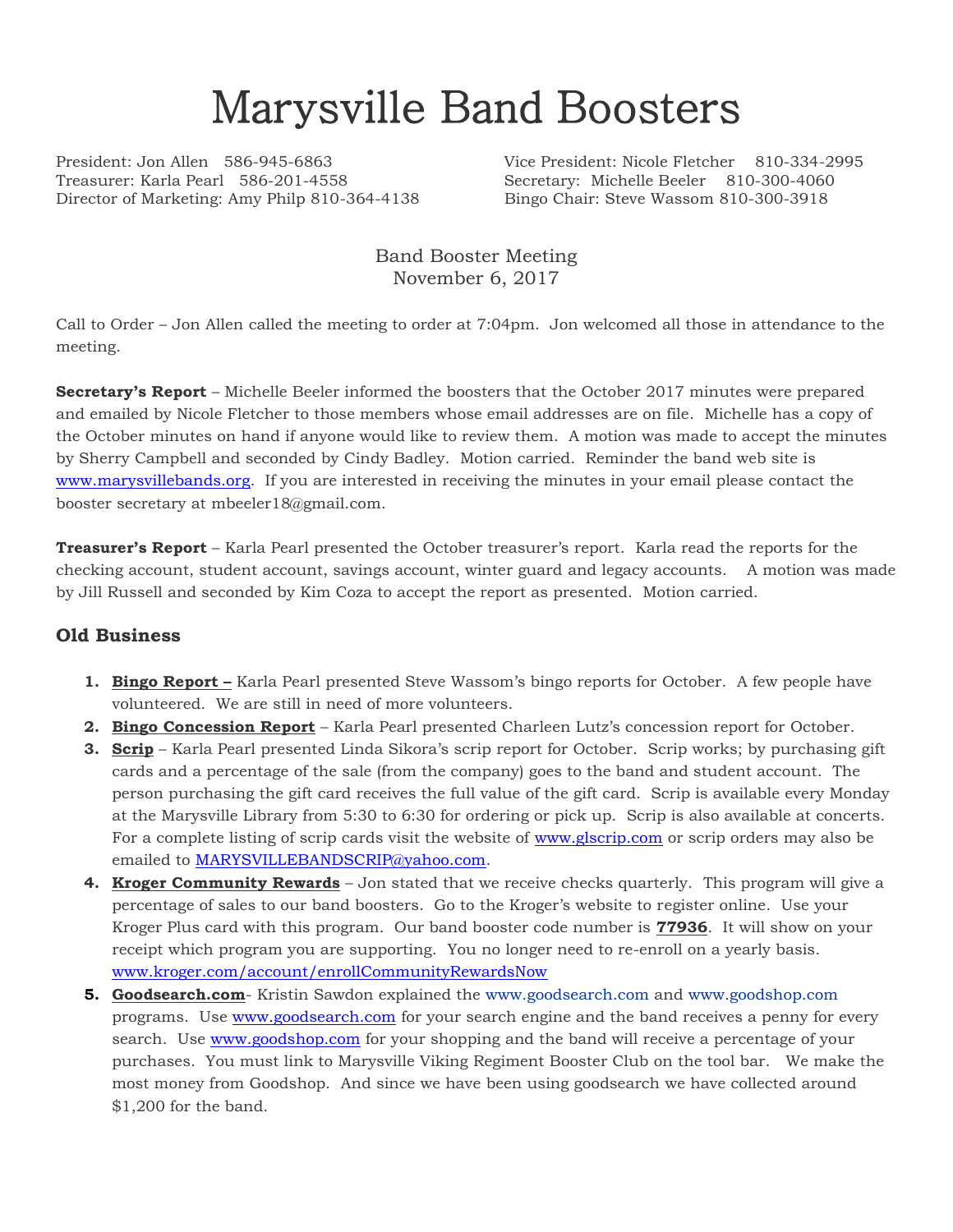# Marysville Band Boosters

Treasurer: Karla Pearl 586-201-4558 Secretary: Michelle Beeler 810-300-4060 Director of Marketing: Amy Philp 810-364-4138 Bingo Chair: Steve Wassom 810-300-3918

President: Jon Allen 586-945-6863 Vice President: Nicole Fletcher 810-334-2995

Band Booster Meeting November 6, 2017

Call to Order – Jon Allen called the meeting to order at 7:04pm. Jon welcomed all those in attendance to the meeting.

**Secretary's Report** – Michelle Beeler informed the boosters that the October 2017 minutes were prepared and emailed by Nicole Fletcher to those members whose email addresses are on file. Michelle has a copy of the October minutes on hand if anyone would like to review them. A motion was made to accept the minutes by Sherry Campbell and seconded by Cindy Badley. Motion carried. Reminder the band web site is [www.marysvillebands.org.](http://www.marysvillebands.org/) If you are interested in receiving the minutes in your email please contact the booster secretary at mbeeler18@gmail.com.

**Treasurer's Report** – Karla Pearl presented the October treasurer's report. Karla read the reports for the checking account, student account, savings account, winter guard and legacy accounts. A motion was made by Jill Russell and seconded by Kim Coza to accept the report as presented. Motion carried.

#### **Old Business**

- **1. Bingo Report** Karla Pearl presented Steve Wassom's bingo reports for October. A few people have volunteered. We are still in need of more volunteers.
- **2. Bingo Concession Report** Karla Pearl presented Charleen Lutz's concession report for October.
- **3. Scrip** Karla Pearl presented Linda Sikora's scrip report for October. Scrip works; by purchasing gift cards and a percentage of the sale (from the company) goes to the band and student account. The person purchasing the gift card receives the full value of the gift card. Scrip is available every Monday at the Marysville Library from 5:30 to 6:30 for ordering or pick up. Scrip is also available at concerts. For a complete listing of scrip cards visit the website of [www.glscrip.com](http://www.glscrip.com/) or scrip orders may also be emailed to **MARYSVILLEBANDSCRIP@yahoo.com.**
- **4. Kroger Community Rewards** Jon stated that we receive checks quarterly. This program will give a percentage of sales to our band boosters. Go to the Kroger's website to register online. Use your Kroger Plus card with this program. Our band booster code number is **77936**. It will show on your receipt which program you are supporting. You no longer need to re-enroll on a yearly basis. [www.kroger.com/account/enrollCommunityRewardsNow](http://www.kroger.com/account/enrollCommunityRewardsNow)
- **5. Goodsearch.com** Kristin Sawdon explained the [www.goodsearch.com](http://www.goodsearch.com/) and [www.goodshop.com](http://www.goodshop.com/) programs. Use [www.goodsearch.com](http://www.goodsearch.com/) for your search engine and the band receives a penny for every search. Use [www.goodshop.com](http://www.goodshop.com/) for your shopping and the band will receive a percentage of your purchases. You must link to Marysville Viking Regiment Booster Club on the tool bar. We make the most money from Goodshop. And since we have been using goodsearch we have collected around \$1,200 for the band.